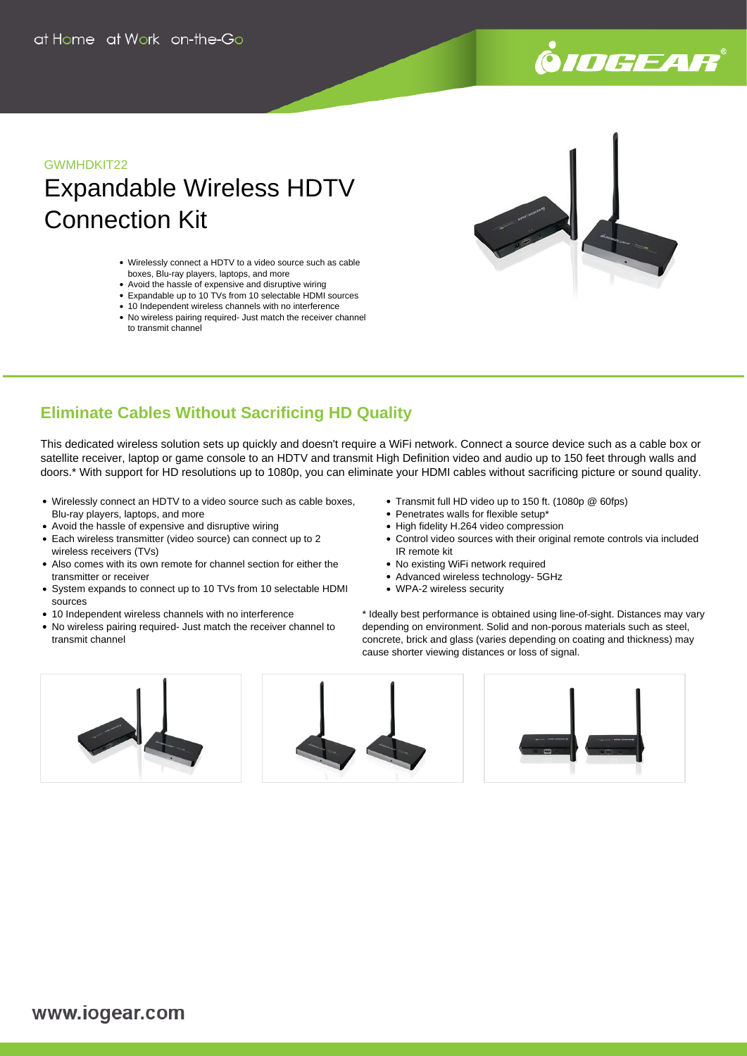# .<br>9*10GEAR*

## GWMHDKIT22

# Expandable Wireless HDTV Connection Kit

- Wirelessly connect a HDTV to a video source such as cable boxes, Blu-ray players, laptops, and more
- Avoid the hassle of expensive and disruptive wiring
- Expandable up to 10 TVs from 10 selectable HDMI sources
- 10 Independent wireless channels with no interference • No wireless pairing required- Just match the receiver channel to transmit channel



## **Eliminate Cables Without Sacrificing HD Quality**

This dedicated wireless solution sets up quickly and doesn't require a WiFi network. Connect a source device such as a cable box or satellite receiver, laptop or game console to an HDTV and transmit High Definition video and audio up to 150 feet through walls and doors.\* With support for HD resolutions up to 1080p, you can eliminate your HDMI cables without sacrificing picture or sound quality.

- Wirelessly connect an HDTV to a video source such as cable boxes, Blu-ray players, laptops, and more
- Avoid the hassle of expensive and disruptive wiring
- Each wireless transmitter (video source) can connect up to 2 wireless receivers (TVs)
- Also comes with its own remote for channel section for either the transmitter or receiver
- System expands to connect up to 10 TVs from 10 selectable HDMI sources
- 10 Independent wireless channels with no interference
- No wireless pairing required- Just match the receiver channel to transmit channel
- Transmit full HD video up to 150 ft. (1080p @ 60fps)
- Penetrates walls for flexible setup<sup>\*</sup>
- High fidelity H.264 video compression
- Control video sources with their original remote controls via included IR remote kit
- No existing WiFi network required
- Advanced wireless technology- 5GHz
- WPA-2 wireless security

\* Ideally best performance is obtained using line-of-sight. Distances may vary depending on environment. Solid and non-porous materials such as steel, concrete, brick and glass (varies depending on coating and thickness) may cause shorter viewing distances or loss of signal.

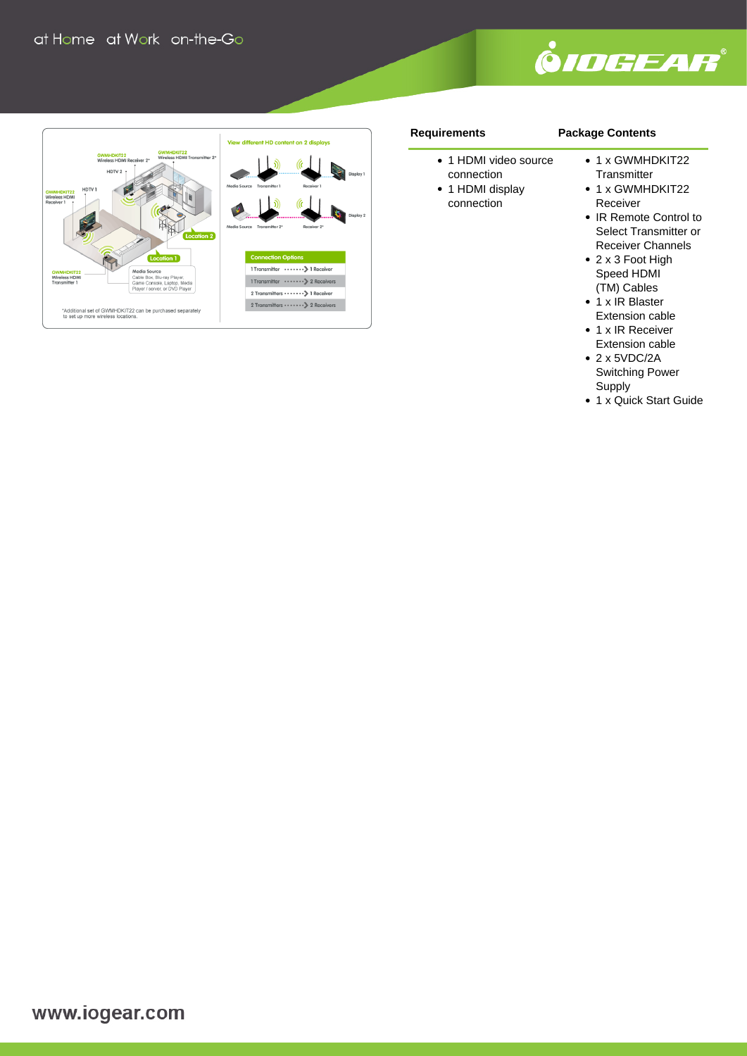



#### **Requirements**

### **Package Contents**

- 1 HDMI video source connection
- 1 HDMI display connection
- 1 x GWMHDKIT22 **Transmitter**
- 1 x GWMHDKIT22 Receiver
- IR Remote Control to Select Transmitter or Receiver Channels
- 2 x 3 Foot High Speed HDMI (TM) Cables
- 1 x IR Blaster Extension cable
- 1 x IR Receiver Extension cable
- 2 x 5VDC/2A Switching Power Supply
- 1 x Quick Start Guide